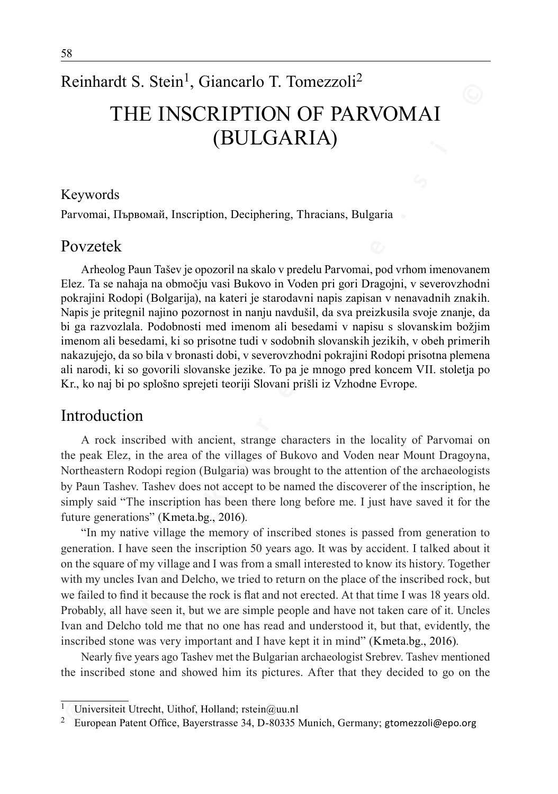# Reinhardt S. Stein<sup>1</sup>, Giancarlo T. Tomezzoli<sup>2</sup> The Inscription of Parvomai (Bulgaria)

#### Keywords

Parvomai, Първомай, Inscription, Deciphering, Thracians, Bulgaria

### Povzetek

**THE INSCRIPTION OF PARNOMAI**<br> **CBULGARIA)**<br> **CBULGARIA**<br> **CBULGARIA**<br> **CBULGARIA**<br> **CBULGARIA**<br> **CONVOTS**<br> **ECONOTIST CONS**<br> **ECONOTIST CONS**<br> **ECONOTIST CONS**<br> **ECONOTIST CONS**<br> **ECONOTIST CONS**<br> **ECONOTIST CONS**<br> **ECONO** Arheolog Paun Tašev je opozoril na skalo v predelu Parvomai, pod vrhom imenovanem Elez. Ta se nahaja na območju vasi Bukovo in Voden pri gori Dragojni, v severovzhodni pokrajini Rodopi (Bolgarija), na kateri je starodavni napis zapisan v nenavadnih znakih. Napis je pritegnil najino pozornost in nanju navdušil, da sva preizkusila svoje znanje, da bi ga razvozlala. Podobnosti med imenom ali besedami v napisu s slovanskim božjim imenom ali besedami, ki so prisotne tudi v sodobnih slovanskih jezikih, v obeh primerih nakazujejo, da so bila v bronasti dobi, v severovzhodni pokrajini Rodopi prisotna plemena ali narodi, ki so govorili slovanske jezike. To pa je mnogo pred koncem VII. stoletja po Kr., ko naj bi po splošno sprejeti teoriji Slovani prišli iz Vzhodne Evrope.

#### Introduction

A rock inscribed with ancient, strange characters in the locality of Parvomai on the peak Elez, in the area of the villages of Bukovo and Voden near Mount Dragoyna, Northeastern Rodopi region (Bulgaria) was brought to the attention of the archaeologists by Paun Tashev. Tashev does not accept to be named the discoverer of the inscription, he simply said "The inscription has been there long before me. I just have saved it for the future generations" (Kmeta.bg., 2016).

"In my native village the memory of inscribed stones is passed from generation to generation. I have seen the inscription 50 years ago. It was by accident. I talked about it on the square of my village and I was from a small interested to know its history. Together with my uncles Ivan and Delcho, we tried to return on the place of the inscribed rock, but we failed to find it because the rock is flat and not erected. At that time I was 18 years old. Probably, all have seen it, but we are simple people and have not taken care of it. Uncles Ivan and Delcho told me that no one has read and understood it, but that, evidently, the inscribed stone was very important and I have kept it in mind" (Kmeta.bg., 2016).

Nearly five years ago Tashev met the Bulgarian archaeologist Srebrev. Tashev mentioned the inscribed stone and showed him its pictures. After that they decided to go on the

Universiteit Utrecht, Uithof, Holland; rstein@uu.nl

<sup>&</sup>lt;sup>2</sup> European Patent Office, Bayerstrasse 34, D-80335 Munich, Germany; gtomezzoli@epo.org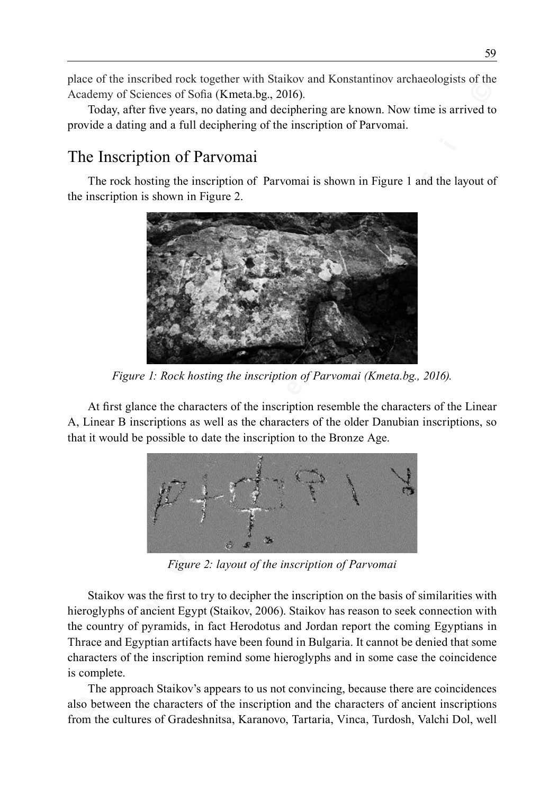place of the inscribed rock together with Staikov and Konstantinov archaeologists of the Academy of Sciences of Sofia (Kmeta.bg., 2016).

Today, after five years, no dating and deciphering are known. Now time is arrived to provide a dating and a full deciphering of the inscription of Parvomai.

## The Inscription of Parvomai

The rock hosting the inscription of Parvomai is shown in Figure 1 and the layout of the inscription is shown in Figure 2.



*Figure 1: Rock hosting the inscription of Parvomai (Kmeta.bg., 2016).*

At first glance the characters of the inscription resemble the characters of the Linear A, Linear B inscriptions as well as the characters of the older Danubian inscriptions, so that it would be possible to date the inscription to the Bronze Age.



*Figure 2: layout of the inscription of Parvomai*

Staikov was the first to try to decipher the inscription on the basis of similarities with hieroglyphs of ancient Egypt (Staikov, 2006). Staikov has reason to seek connection with the country of pyramids, in fact Herodotus and Jordan report the coming Egyptians in Thrace and Egyptian artifacts have been found in Bulgaria. It cannot be denied that some characters of the inscription remind some hieroglyphs and in some case the coincidence is complete.

The approach Staikov's appears to us not convincing, because there are coincidences also between the characters of the inscription and the characters of ancient inscriptions from the cultures of Gradeshnitsa, Karanovo, Tartaria, Vinca, Turdosh, Valchi Dol, well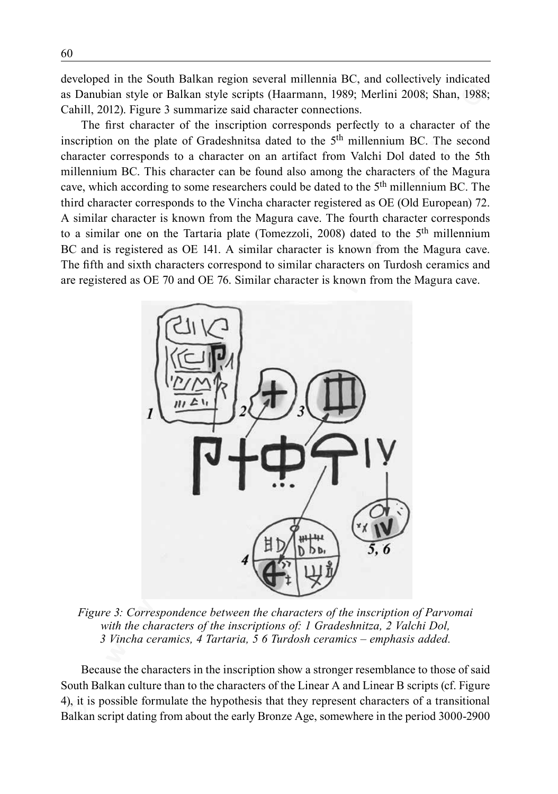developed in the South Balkan region several millennia BC, and collectively indicated as Danubian style or Balkan style scripts (Haarmann, 1989; Merlini 2008; Shan, 1988; Cahill, 2012). Figure 3 summarize said character connections.

The first character of the inscription corresponds perfectly to a character of the inscription on the plate of Gradeshnitsa dated to the  $5<sup>th</sup>$  millennium BC. The second character corresponds to a character on an artifact from Valchi Dol dated to the 5th millennium BC. This character can be found also among the characters of the Magura cave, which according to some researchers could be dated to the 5<sup>th</sup> millennium BC. The third character corresponds to the Vincha character registered as OE (Old European) 72. A similar character is known from the Magura cave. The fourth character corresponds to a similar one on the Tartaria plate (Tomezzoli, 2008) dated to the  $5<sup>th</sup>$  millennium BC and is registered as OE 141. A similar character is known from the Magura cave. The fifth and sixth characters correspond to similar characters on Turdosh ceramics and are registered as OE 70 and OE 76. Similar character is known from the Magura cave.



*Figure 3: Correspondence between the characters of the inscription of Parvomai with the characters of the inscriptions of: 1 Gradeshnitza, 2 Valchi Dol, 3 Vincha ceramics, 4 Tartaria, 5 6 Turdosh ceramics – emphasis added.*

Because the characters in the inscription show a stronger resemblance to those of said South Balkan culture than to the characters of the Linear A and Linear B scripts (cf. Figure 4), it is possible formulate the hypothesis that they represent characters of a transitional Balkan script dating from about the early Bronze Age, somewhere in the period 3000-2900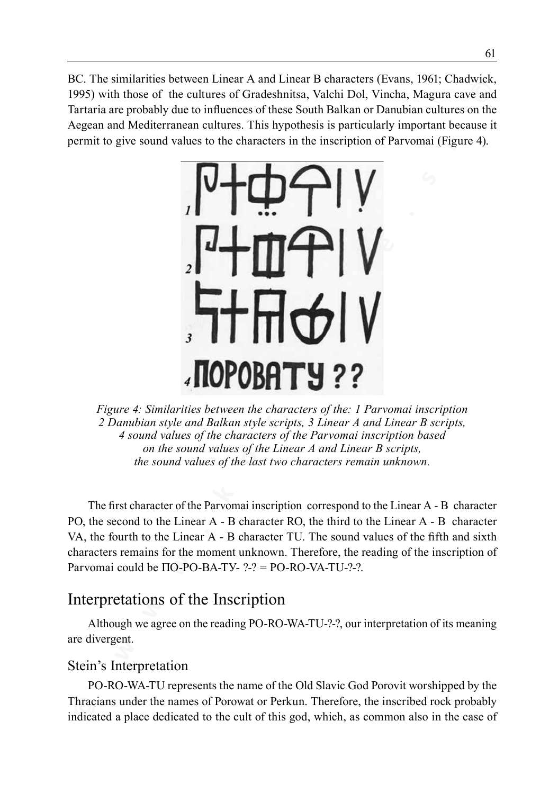BC. The similarities between Linear A and Linear B characters (Evans, 1961; Chadwick, 1995) with those of the cultures of Gradeshnitsa, Valchi Dol, Vincha, Magura cave and Tartaria are probably due to influences of these South Balkan or Danubian cultures on the Aegean and Mediterranean cultures. This hypothesis is particularly important because it permit to give sound values to the characters in the inscription of Parvomai (Figure 4).



*Figure 4: Similarities between the characters of the: 1 Parvomai inscription 2 Danubian style and Balkan style scripts, 3 Linear A and Linear B scripts, 4 sound values of the characters of the Parvomai inscription based on the sound values of the Linear A and Linear B scripts, the sound values of the last two characters remain unknown.*

The first character of the Parvomai inscription correspond to the Linear A - B character PO, the second to the Linear A - B character RO, the third to the Linear A - B character VA, the fourth to the Linear A - B character TU. The sound values of the fifth and sixth characters remains for the moment unknown. Therefore, the reading of the inscription of Parvomai could be  $\Pi$ O-PO-BA-TV- ?-? = PO-RO-VA-TU-?-?.

## Interpretations of the Inscription

Although we agree on the reading PO-RO-WA-TU-?-?, our interpretation of its meaning are divergent.

#### Stein's Interpretation

PO-RO-WA-TU represents the name of the Old Slavic God Porovit worshipped by the Thracians under the names of Porowat or Perkun. Therefore, the inscribed rock probably indicated a place dedicated to the cult of this god, which, as common also in the case of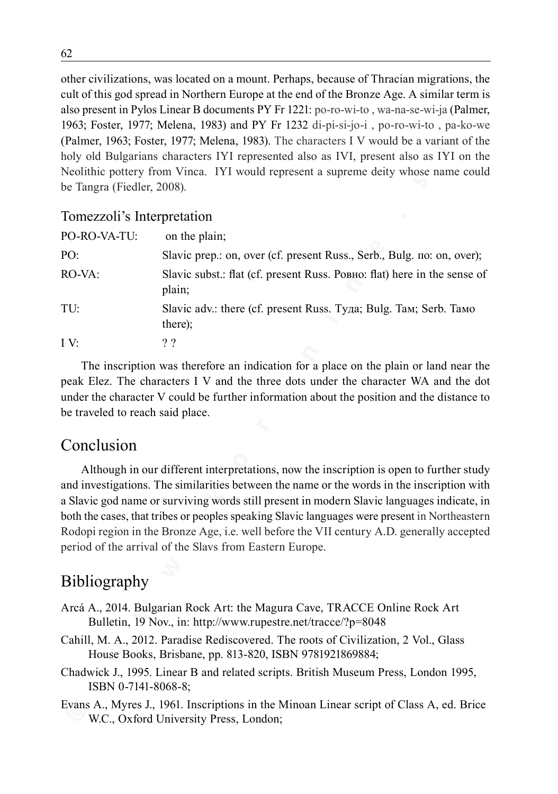other civilizations, was located on a mount. Perhaps, because of Thracian migrations, the cult of this god spread in Northern Europe at the end of the Bronze Age. A similar term is also present in Pylos Linear B documents PY Fr 1221: po-ro-wi-to , wa-na-se-wi-ja (Palmer, 1963; Foster, 1977; Melena, 1983) and PY Fr 1232 di-pi-si-jo-i , po-ro-wi-to , pa-ko-we (Palmer, 1963; Foster, 1977; Melena, 1983). The characters I V would be a variant of the holy old Bulgarians characters IYI represented also as IVI, present also as IYI on the Neolithic pottery from Vinca. IYI would represent a supreme deity whose name could be Tangra (Fiedler, 2008).

#### Tomezzoli's Interpretation

|                                  | cult of this god spread in Northern Europe at the end of the Bronze Age. A similar term is                                                      |
|----------------------------------|-------------------------------------------------------------------------------------------------------------------------------------------------|
|                                  | also present in Pylos Linear B documents PY Fr 1221: po-ro-wi-to, wa-na-se-wi-ja (Palmer,                                                       |
|                                  | 1963; Foster, 1977; Melena, 1983) and PY Fr 1232 di-pi-si-jo-i, po-ro-wi-to, pa-ko-we                                                           |
|                                  | (Palmer, 1963; Foster, 1977; Melena, 1983). The characters I V would be a variant of the                                                        |
|                                  | holy old Bulgarians characters IYI represented also as IVI, present also as IYI on the                                                          |
|                                  | Neolithic pottery from Vinca. IYI would represent a supreme deity whose name could                                                              |
| be Tangra (Fiedler, 2008).       |                                                                                                                                                 |
| Tomezzoli's Interpretation       |                                                                                                                                                 |
| PO-RO-VA-TU:                     | on the plain;                                                                                                                                   |
| PO:                              | Slavic prep.: on, over (cf. present Russ., Serb., Bulg. no: on, over);                                                                          |
| RO-VA:                           | Slavic subst.: flat (cf. present Russ. Ровно: flat) here in the sense of<br>plain;                                                              |
| TU:                              | Slavic adv.: there (cf. present Russ. Туда; Bulg. Там; Serb. Тамо<br>there);                                                                    |
| IV:                              | ??                                                                                                                                              |
|                                  | The inscription was therefore an indication for a place on the plain or land near the                                                           |
|                                  | peak Elez. The characters I V and the three dots under the character WA and the dot                                                             |
|                                  | under the character V could be further information about the position and the distance to                                                       |
| be traveled to reach said place. |                                                                                                                                                 |
|                                  |                                                                                                                                                 |
| Conclusion                       |                                                                                                                                                 |
|                                  | Although in our different interpretations, now the inscription is open to further study                                                         |
|                                  | and investigations. The similarities between the name or the words in the inscription with                                                      |
|                                  | a Slavic god name or surviving words still present in modern Slavic languages indicate, in                                                      |
|                                  | both the cases, that tribes or peoples speaking Slavic languages were present in Northeastern                                                   |
|                                  | Rodopi region in the Bronze Age, i.e. well before the VII century A.D. generally accepted                                                       |
|                                  | period of the arrival of the Slavs from Eastern Europe.                                                                                         |
|                                  |                                                                                                                                                 |
| <b>Bibliography</b>              |                                                                                                                                                 |
|                                  | Arcá A., 2014. Bulgarian Rock Art: the Magura Cave, TRACCE Online Rock Art<br>Bulletin, 19 Nov., in: http://www.rupestre.net/tracce/?p=8048     |
|                                  | Cahill, M. A., 2012. Paradise Rediscovered. The roots of Civilization, 2 Vol., Glass<br>House Books, Brisbane, pp. 813-820, ISBN 9781921869884; |
| ISBN 0-7141-8068-8;              | Chadwick J., 1995. Linear B and related scripts. British Museum Press, London 1995,                                                             |
|                                  | Evans A., Myres J., 1961. Inscriptions in the Minoan Linear script of Class A, ed. Brice<br>W.C., Oxford University Press, London;              |

## Conclusion

## Bibliography

- Arcá A., 2014. Bulgarian Rock Art: the Magura Cave, TRACCE Online Rock Art Bulletin, 19 Nov., in: http://www.rupestre.net/tracce/?p=8048
- Cahill, M. A., 2012. Paradise Rediscovered. The roots of Civilization, 2 Vol., Glass House Books, Brisbane, pp. 813-820, ISBN 9781921869884;
- Chadwick J., 1995. Linear B and related scripts. British Museum Press, London 1995, ISBN 0-7141-8068-8;
- Evans A., Myres J., 1961. Inscriptions in the Minoan Linear script of Class A, ed. Brice W.C., Oxford University Press, London;